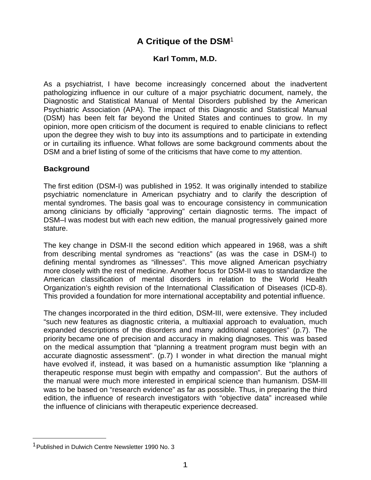# **A Critique of the DSM**<sup>1</sup>

## **Karl Tomm, M.D.**

As a psychiatrist, I have become increasingly concerned about the inadvertent pathologizing influence in our culture of a major psychiatric document, namely, the Diagnostic and Statistical Manual of Mental Disorders published by the American Psychiatric Association (APA). The impact of this Diagnostic and Statistical Manual (DSM) has been felt far beyond the United States and continues to grow. In my opinion, more open criticism of the document is required to enable clinicians to reflect upon the degree they wish to buy into its assumptions and to participate in extending or in curtailing its influence. What follows are some background comments about the DSM and a brief listing of some of the criticisms that have come to my attention.

#### **Background**

The first edition (DSM-I) was published in 1952. It was originally intended to stabilize psychiatric nomenclature in American psychiatry and to clarify the description of mental syndromes. The basis goal was to encourage consistency in communication among clinicians by officially "approving" certain diagnostic terms. The impact of DSM–I was modest but with each new edition, the manual progressively gained more stature.

The key change in DSM-II the second edition which appeared in 1968, was a shift from describing mental syndromes as "reactions" (as was the case in DSM-I) to defining mental syndromes as "illnesses". This move aligned American psychiatry more closely with the rest of medicine. Another focus for DSM-II was to standardize the American classification of mental disorders in relation to the World Health Organization's eighth revision of the International Classification of Diseases (ICD-8). This provided a foundation for more international acceptability and potential influence.

The changes incorporated in the third edition, DSM-III, were extensive. They included "such new features as diagnostic criteria, a multiaxial approach to evaluation, much expanded descriptions of the disorders and many additional categories" (p.7). The priority became one of precision and accuracy in making diagnoses. This was based on the medical assumption that "planning a treatment program must begin with an accurate diagnostic assessment". (p.7) I wonder in what direction the manual might have evolved if, instead, it was based on a humanistic assumption like "planning a therapeutic response must begin with empathy and compassion". But the authors of the manual were much more interested in empirical science than humanism. DSM-III was to be based on "research evidence" as far as possible. Thus, in preparing the third edition, the influence of research investigators with "objective data" increased while the influence of clinicians with therapeutic experience decreased.

<sup>&</sup>lt;sup>1</sup> Published in Dulwich Centre Newsletter 1990 No. 3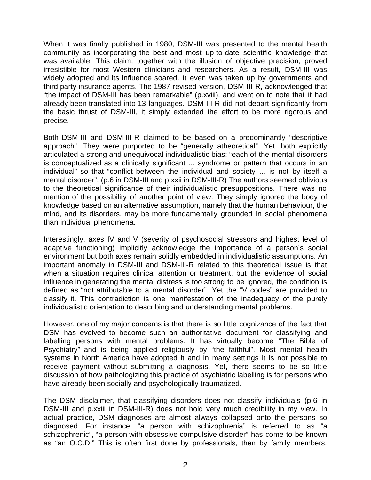When it was finally published in 1980, DSM-III was presented to the mental health community as incorporating the best and most up-to-date scientific knowledge that was available. This claim, together with the illusion of objective precision, proved irresistible for most Western clinicians and researchers. As a result, DSM-III was widely adopted and its influence soared. It even was taken up by governments and third party insurance agents. The 1987 revised version, DSM-III-R, acknowledged that "the impact of DSM-III has been remarkable" (p.xviii), and went on to note that it had already been translated into 13 languages. DSM-III-R did not depart significantly from the basic thrust of DSM-III, it simply extended the effort to be more rigorous and precise.

Both DSM-III and DSM-III-R claimed to be based on a predominantly "descriptive approach". They were purported to be "generally atheoretical". Yet, both explicitly articulated a strong and unequivocal individualistic bias: "each of the mental disorders is conceptualized as a clinically significant ... syndrome or pattern that occurs in an individual" so that "conflict between the individual and society ... is not by itself a mental disorder". (p.6 in DSM-III and p.xxii in DSM-III-R) The authors seemed oblivious to the theoretical significance of their individualistic presuppositions. There was no mention of the possibility of another point of view. They simply ignored the body of knowledge based on an alternative assumption, namely that the human behaviour, the mind, and its disorders, may be more fundamentally grounded in social phenomena than individual phenomena.

Interestingly, axes IV and V (severity of psychosocial stressors and highest level of adaptive functioning) implicitly acknowledge the importance of a person's social environment but both axes remain solidly embedded in individualistic assumptions. An important anomaly in DSM-III and DSM-III-R related to this theoretical issue is that when a situation requires clinical attention or treatment, but the evidence of social influence in generating the mental distress is too strong to be ignored, the condition is defined as "not attributable to a mental disorder". Yet the "V codes" are provided to classify it. This contradiction is one manifestation of the inadequacy of the purely individualistic orientation to describing and understanding mental problems.

However, one of my major concerns is that there is so little cognizance of the fact that DSM has evolved to become such an authoritative document for classifying and labelling persons with mental problems. It has virtually become "The Bible of Psychiatry" and is being applied religiously by "the faithful". Most mental health systems in North America have adopted it and in many settings it is not possible to receive payment without submitting a diagnosis. Yet, there seems to be so little discussion of how pathologizing this practice of psychiatric labelling is for persons who have already been socially and psychologically traumatized.

The DSM disclaimer, that classifying disorders does not classify individuals (p.6 in DSM-III and p.xxiii in DSM-III-R) does not hold very much credibility in my view. In actual practice, DSM diagnoses are almost always collapsed onto the persons so diagnosed. For instance, "a person with schizophrenia" is referred to as "a schizophrenic", "a person with obsessive compulsive disorder" has come to be known as "an O.C.D." This is often first done by professionals, then by family members,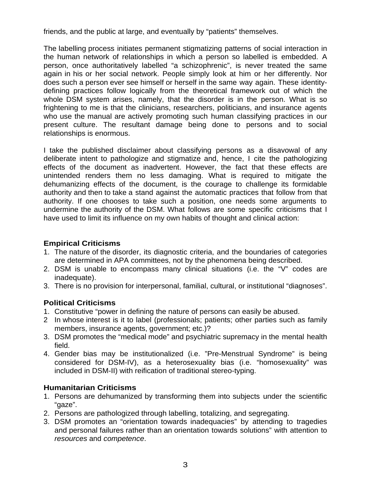friends, and the public at large, and eventually by "patients" themselves.

The labelling process initiates permanent stigmatizing patterns of social interaction in the human network of relationships in which a person so labelled is embedded. A person, once authoritatively labelled "a schizophrenic", is never treated the same again in his or her social network. People simply look at him or her differently. Nor does such a person ever see himself or herself in the same way again. These identitydefining practices follow logically from the theoretical framework out of which the whole DSM system arises, namely, that the disorder is in the person. What is so frightening to me is that the clinicians, researchers, politicians, and insurance agents who use the manual are actively promoting such human classifying practices in our present culture. The resultant damage being done to persons and to social relationships is enormous.

I take the published disclaimer about classifying persons as a disavowal of any deliberate intent to pathologize and stigmatize and, hence, I cite the pathologizing effects of the document as inadvertent. However, the fact that these effects are unintended renders them no less damaging. What is required to mitigate the dehumanizing effects of the document, is the courage to challenge its formidable authority and then to take a stand against the automatic practices that follow from that authority. If one chooses to take such a position, one needs some arguments to undermine the authority of the DSM. What follows are some specific criticisms that I have used to limit its influence on my own habits of thought and clinical action:

### **Empirical Criticisms**

- 1. The nature of the disorder, its diagnostic criteria, and the boundaries of categories are determined in APA committees, not by the phenomena being described.
- 2. DSM is unable to encompass many clinical situations (i.e. the "V" codes are inadequate).
- 3. There is no provision for interpersonal, familial, cultural, or institutional "diagnoses".

### **Political Criticisms**

- 1. Constitutive "power in defining the nature of persons can easily be abused.
- 2 In whose interest is it to label (professionals; patients; other parties such as family members, insurance agents, government; etc.)?
- 3. DSM promotes the "medical mode" and psychiatric supremacy in the mental health field.
- 4. Gender bias may be institutionalized (i.e. "Pre-Menstrual Syndrome" is being considered for DSM-IV), as a heterosexuality bias (i.e. "homosexuality" was included in DSM-II) with reification of traditional stereo-typing.

### **Humanitarian Criticisms**

- 1. Persons are dehumanized by transforming them into subjects under the scientific "gaze".
- 2. Persons are pathologized through labelling, totalizing, and segregating.
- 3. DSM promotes an "orientation towards inadequacies" by attending to tragedies and personal failures rather than an orientation towards solutions" with attention to resources and competence.